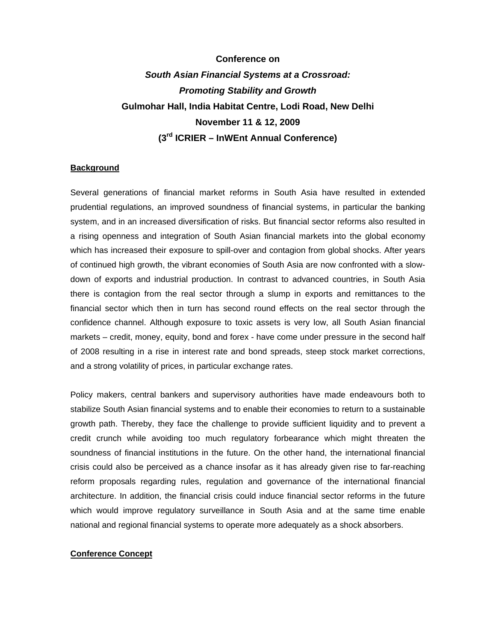# **Conference on**  *South Asian Financial Systems at a Crossroad: Promoting Stability and Growth* **Gulmohar Hall, India Habitat Centre, Lodi Road, New Delhi November 11 & 12, 2009 (3rd ICRIER – InWEnt Annual Conference)**

## **Background**

Several generations of financial market reforms in South Asia have resulted in extended prudential regulations, an improved soundness of financial systems, in particular the banking system, and in an increased diversification of risks. But financial sector reforms also resulted in a rising openness and integration of South Asian financial markets into the global economy which has increased their exposure to spill-over and contagion from global shocks. After years of continued high growth, the vibrant economies of South Asia are now confronted with a slowdown of exports and industrial production. In contrast to advanced countries, in South Asia there is contagion from the real sector through a slump in exports and remittances to the financial sector which then in turn has second round effects on the real sector through the confidence channel. Although exposure to toxic assets is very low, all South Asian financial markets – credit, money, equity, bond and forex - have come under pressure in the second half of 2008 resulting in a rise in interest rate and bond spreads, steep stock market corrections, and a strong volatility of prices, in particular exchange rates.

Policy makers, central bankers and supervisory authorities have made endeavours both to stabilize South Asian financial systems and to enable their economies to return to a sustainable growth path. Thereby, they face the challenge to provide sufficient liquidity and to prevent a credit crunch while avoiding too much regulatory forbearance which might threaten the soundness of financial institutions in the future. On the other hand, the international financial crisis could also be perceived as a chance insofar as it has already given rise to far-reaching reform proposals regarding rules, regulation and governance of the international financial architecture. In addition, the financial crisis could induce financial sector reforms in the future which would improve regulatory surveillance in South Asia and at the same time enable national and regional financial systems to operate more adequately as a shock absorbers.

### **Conference Concept**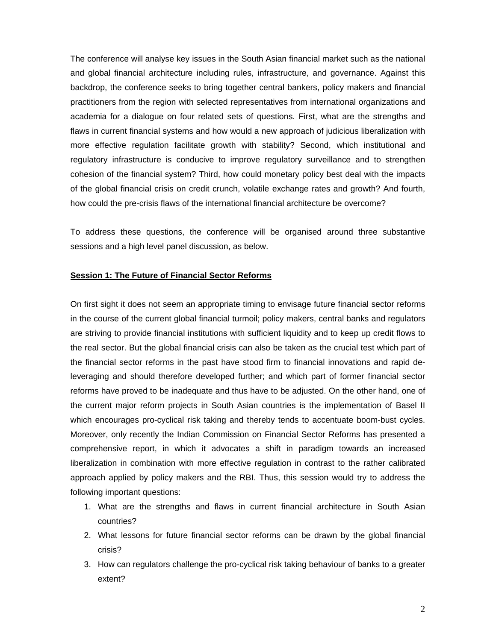The conference will analyse key issues in the South Asian financial market such as the national and global financial architecture including rules, infrastructure, and governance. Against this backdrop, the conference seeks to bring together central bankers, policy makers and financial practitioners from the region with selected representatives from international organizations and academia for a dialogue on four related sets of questions. First, what are the strengths and flaws in current financial systems and how would a new approach of judicious liberalization with more effective regulation facilitate growth with stability? Second, which institutional and regulatory infrastructure is conducive to improve regulatory surveillance and to strengthen cohesion of the financial system? Third, how could monetary policy best deal with the impacts of the global financial crisis on credit crunch, volatile exchange rates and growth? And fourth, how could the pre-crisis flaws of the international financial architecture be overcome?

To address these questions, the conference will be organised around three substantive sessions and a high level panel discussion, as below.

#### **Session 1: The Future of Financial Sector Reforms**

On first sight it does not seem an appropriate timing to envisage future financial sector reforms in the course of the current global financial turmoil; policy makers, central banks and regulators are striving to provide financial institutions with sufficient liquidity and to keep up credit flows to the real sector. But the global financial crisis can also be taken as the crucial test which part of the financial sector reforms in the past have stood firm to financial innovations and rapid deleveraging and should therefore developed further; and which part of former financial sector reforms have proved to be inadequate and thus have to be adjusted. On the other hand, one of the current major reform projects in South Asian countries is the implementation of Basel II which encourages pro-cyclical risk taking and thereby tends to accentuate boom-bust cycles. Moreover, only recently the Indian Commission on Financial Sector Reforms has presented a comprehensive report, in which it advocates a shift in paradigm towards an increased liberalization in combination with more effective regulation in contrast to the rather calibrated approach applied by policy makers and the RBI. Thus, this session would try to address the following important questions:

- 1. What are the strengths and flaws in current financial architecture in South Asian countries?
- 2. What lessons for future financial sector reforms can be drawn by the global financial crisis?
- 3. How can regulators challenge the pro-cyclical risk taking behaviour of banks to a greater extent?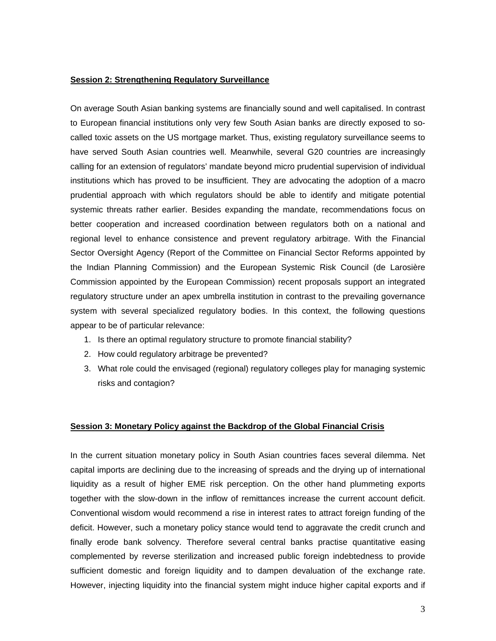## **Session 2: Strengthening Regulatory Surveillance**

On average South Asian banking systems are financially sound and well capitalised. In contrast to European financial institutions only very few South Asian banks are directly exposed to socalled toxic assets on the US mortgage market. Thus, existing regulatory surveillance seems to have served South Asian countries well. Meanwhile, several G20 countries are increasingly calling for an extension of regulators' mandate beyond micro prudential supervision of individual institutions which has proved to be insufficient. They are advocating the adoption of a macro prudential approach with which regulators should be able to identify and mitigate potential systemic threats rather earlier. Besides expanding the mandate, recommendations focus on better cooperation and increased coordination between regulators both on a national and regional level to enhance consistence and prevent regulatory arbitrage. With the Financial Sector Oversight Agency (Report of the Committee on Financial Sector Reforms appointed by the Indian Planning Commission) and the European Systemic Risk Council (de Larosière Commission appointed by the European Commission) recent proposals support an integrated regulatory structure under an apex umbrella institution in contrast to the prevailing governance system with several specialized regulatory bodies. In this context, the following questions appear to be of particular relevance:

- 1. Is there an optimal regulatory structure to promote financial stability?
- 2. How could regulatory arbitrage be prevented?
- 3. What role could the envisaged (regional) regulatory colleges play for managing systemic risks and contagion?

#### **Session 3: Monetary Policy against the Backdrop of the Global Financial Crisis**

In the current situation monetary policy in South Asian countries faces several dilemma. Net capital imports are declining due to the increasing of spreads and the drying up of international liquidity as a result of higher EME risk perception. On the other hand plummeting exports together with the slow-down in the inflow of remittances increase the current account deficit. Conventional wisdom would recommend a rise in interest rates to attract foreign funding of the deficit. However, such a monetary policy stance would tend to aggravate the credit crunch and finally erode bank solvency. Therefore several central banks practise quantitative easing complemented by reverse sterilization and increased public foreign indebtedness to provide sufficient domestic and foreign liquidity and to dampen devaluation of the exchange rate. However, injecting liquidity into the financial system might induce higher capital exports and if